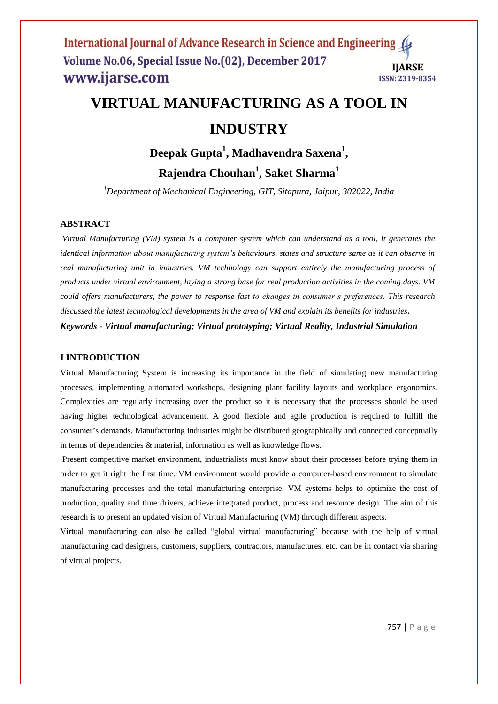## International Journal of Advance Research in Science and Engineering (4 Volume No.06, Special Issue No.(02), December 2017 **IIARSE** www.ijarse.com ISSN: 2319-8354

# **VIRTUAL MANUFACTURING AS A TOOL IN INDUSTRY**

**Deepak Gupta<sup>1</sup> , Madhavendra Saxena<sup>1</sup> ,**

**Rajendra Chouhan<sup>1</sup> , Saket Sharma<sup>1</sup>**

*<sup>1</sup>Department of Mechanical Engineering, GIT, Sitapura, Jaipur, 302022, India*

# **ABSTRACT**

*Virtual Manufacturing (VM) system is a computer system which can understand as a tool, it generates the identical information about manufacturing system's behaviours, states and structure same as it can observe in real manufacturing unit in industries. VM technology can support entirely the manufacturing process of products under virtual environment, laying a strong base for real production activities in the coming days. VM could offers manufacturers, the power to response fast to changes in consumer's preferences. This research discussed the latest technological developments in the area of VM and explain its benefits for industries***.**

*Keywords - Virtual manufacturing; Virtual prototyping; Virtual Reality, Industrial Simulation*

# **I INTRODUCTION**

Virtual Manufacturing System is increasing its importance in the field of simulating new manufacturing processes, implementing automated workshops, designing plant facility layouts and workplace ergonomics. Complexities are regularly increasing over the product so it is necessary that the processes should be used having higher technological advancement. A good flexible and agile production is required to fulfill the consumer's demands. Manufacturing industries might be distributed geographically and connected conceptually in terms of dependencies & material, information as well as knowledge flows.

Present competitive market environment, industrialists must know about their processes before trying them in order to get it right the first time. VM environment would provide a computer-based environment to simulate manufacturing processes and the total manufacturing enterprise. VM systems helps to optimize the cost of production, quality and time drivers, achieve integrated product, process and resource design. The aim of this research is to present an updated vision of Virtual Manufacturing (VM) through different aspects.

Virtual manufacturing can also be called "global virtual manufacturing" because with the help of virtual manufacturing cad designers, customers, suppliers, contractors, manufactures, etc. can be in contact via sharing of virtual projects.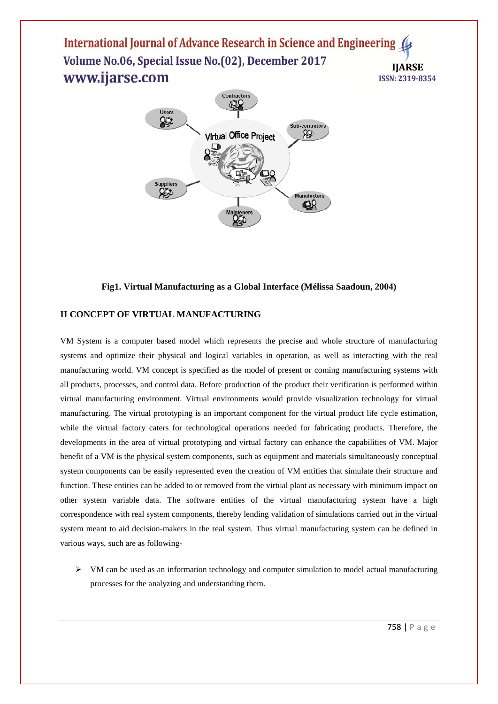International Journal of Advance Research in Science and Engineering Volume No.06, Special Issue No.(02), December 2017 **IIARSE** www.ijarse.com ISSN: 2319-8354



## **Fig1. Virtual Manufacturing as a Global Interface (Mélissa Saadoun, 2004)**

## **II CONCEPT OF VIRTUAL MANUFACTURING**

VM System is a computer based model which represents the precise and whole structure of manufacturing systems and optimize their physical and logical variables in operation, as well as interacting with the real manufacturing world. VM concept is specified as the model of present or coming manufacturing systems with all products, processes, and control data. Before production of the product their verification is performed within virtual manufacturing environment. Virtual environments would provide visualization technology for virtual manufacturing. The virtual prototyping is an important component for the virtual product life cycle estimation, while the virtual factory caters for technological operations needed for fabricating products. Therefore, the developments in the area of virtual prototyping and virtual factory can enhance the capabilities of VM. Major benefit of a VM is the physical system components, such as equipment and materials simultaneously conceptual system components can be easily represented even the creation of VM entities that simulate their structure and function. These entities can be added to or removed from the virtual plant as necessary with minimum impact on other system variable data. The software entities of the virtual manufacturing system have a high correspondence with real system components, thereby lending validation of simulations carried out in the virtual system meant to aid decision-makers in the real system. Thus virtual manufacturing system can be defined in various ways, such are as following-

 $\triangleright$  VM can be used as an information technology and computer simulation to model actual manufacturing processes for the analyzing and understanding them.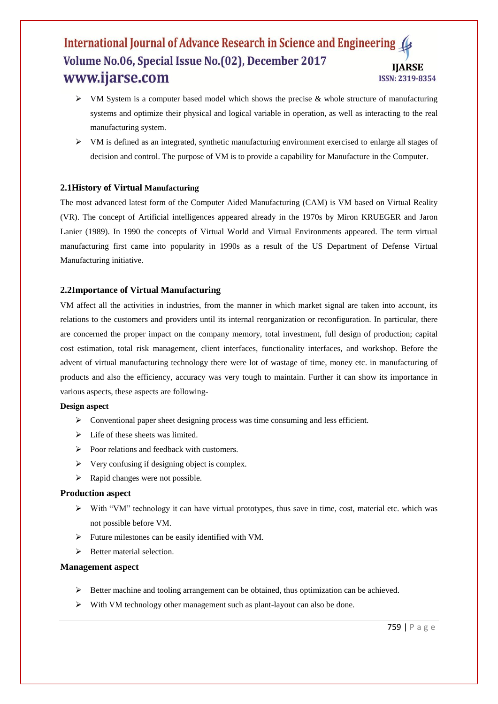# International Journal of Advance Research in Science and Engineering Volume No.06, Special Issue No. (02), December 2017 **IIARSE** www.ijarse.com ISSN: 2319-8354

- $\triangleright$  VM System is a computer based model which shows the precise & whole structure of manufacturing systems and optimize their physical and logical variable in operation, as well as interacting to the real manufacturing system.
- $\triangleright$  VM is defined as an integrated, synthetic manufacturing environment exercised to enlarge all stages of decision and control. The purpose of VM is to provide a capability for Manufacture in the Computer.

## **2.1History of Virtual Manufacturing**

The most advanced latest form of the Computer Aided Manufacturing (CAM) is VM based on Virtual Reality (VR). The concept of Artificial intelligences appeared already in the 1970s by Miron KRUEGER and Jaron Lanier (1989). In 1990 the concepts of Virtual World and Virtual Environments appeared. The term virtual manufacturing first came into popularity in 1990s as a result of the US Department of Defense Virtual Manufacturing initiative.

## **2.2Importance of Virtual Manufacturing**

VM affect all the activities in industries, from the manner in which market signal are taken into account, its relations to the customers and providers until its internal reorganization or reconfiguration. In particular, there are concerned the proper impact on the company memory, total investment, full design of production; capital cost estimation, total risk management, client interfaces, functionality interfaces, and workshop. Before the advent of virtual manufacturing technology there were lot of wastage of time, money etc. in manufacturing of products and also the efficiency, accuracy was very tough to maintain. Further it can show its importance in various aspects, these aspects are following-

## **Design aspect**

- Conventional paper sheet designing process was time consuming and less efficient.
- $\triangleright$  Life of these sheets was limited.
- $\triangleright$  Poor relations and feedback with customers.
- $\triangleright$  Very confusing if designing object is complex.
- $\triangleright$  Rapid changes were not possible.

## **Production aspect**

- $\triangleright$  With "VM" technology it can have virtual prototypes, thus save in time, cost, material etc. which was not possible before VM.
- $\triangleright$  Future milestones can be easily identified with VM.
- $\triangleright$  Better material selection.

## **Management aspect**

- $\triangleright$  Better machine and tooling arrangement can be obtained, thus optimization can be achieved.
- $\triangleright$  With VM technology other management such as plant-layout can also be done.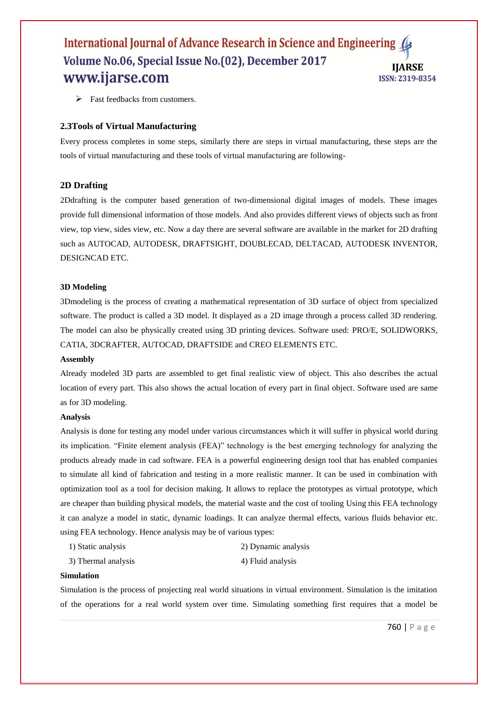# International Journal of Advance Research in Science and Engineering (4 Volume No.06, Special Issue No.(02), December 2017 **IIARSE** www.ijarse.com ISSN: 2319-8354

 $\triangleright$  Fast feedbacks from customers.

## **2.3Tools of Virtual Manufacturing**

Every process completes in some steps, similarly there are steps in virtual manufacturing, these steps are the tools of virtual manufacturing and these tools of virtual manufacturing are following-

## **2D Drafting**

2Ddrafting is the computer based generation of two-dimensional digital images of models. These images provide full dimensional information of those models. And also provides different views of objects such as front view, top view, sides view, etc. Now a day there are several software are available in the market for 2D drafting such as AUTOCAD, AUTODESK, DRAFTSIGHT, DOUBLECAD, DELTACAD, AUTODESK INVENTOR, DESIGNCAD ETC.

#### **3D Modeling**

3Dmodeling is the process of creating a mathematical representation of 3D surface of object from specialized software. The product is called a 3D model. It displayed as a 2D image through a process called 3D rendering. The model can also be physically created using 3D printing devices. Software used: PRO/E, SOLIDWORKS, CATIA, 3DCRAFTER, AUTOCAD, DRAFTSIDE and CREO ELEMENTS ETC.

#### **Assembly**

Already modeled 3D parts are assembled to get final realistic view of object. This also describes the actual location of every part. This also shows the actual location of every part in final object. Software used are same as for 3D modeling.

#### **Analysis**

Analysis is done for testing any model under various circumstances which it will suffer in physical world during its implication. "Finite element analysis (FEA)" technology is the best emerging technology for analyzing the products already made in cad software. FEA is a powerful engineering design tool that has enabled companies to simulate all kind of fabrication and testing in a more realistic manner. It can be used in combination with optimization tool as a tool for decision making. It allows to replace the prototypes as virtual prototype, which are cheaper than building physical models, the material waste and the cost of tooling Using this FEA technology it can analyze a model in static, dynamic loadings. It can analyze thermal effects, various fluids behavior etc. using FEA technology. Hence analysis may be of various types:

- 1) Static analysis 2) Dynamic analysis
- 3) Thermal analysis 4) Fluid analysis

#### **Simulation**

Simulation is the process of projecting real world situations in virtual environment. Simulation is the imitation of the operations for a real world system over time. Simulating something first requires that a model be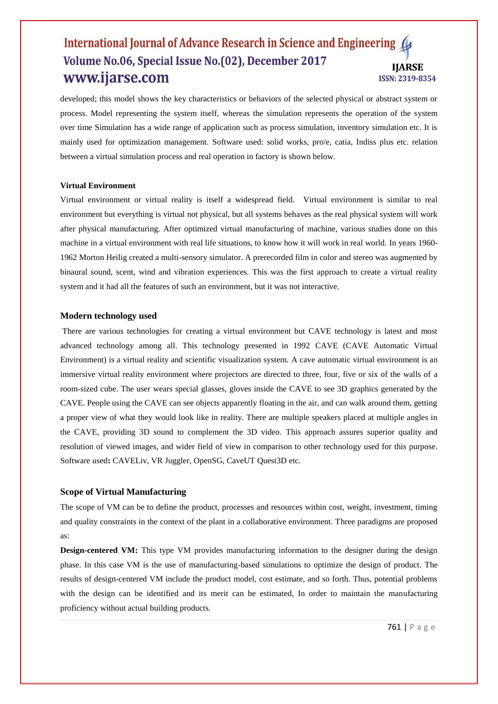## International Journal of Advance Research in Science and Engineering (4 Volume No.06, Special Issue No.(02), December 2017 **IJARSE** www.ijarse.com ISSN: 2319-8354

developed; this model shows the key characteristics or behaviors of the selected physical or abstract system or process. Model representing the system itself, whereas the simulation represents the operation of the system over time Simulation has a wide range of application such as process simulation, inventory simulation etc. It is mainly used for optimization management. Software used: solid works, pro/e, catia, Indiss plus etc. relation between a virtual simulation process and real operation in factory is shown below.

#### **Virtual Environment**

Virtual environment or virtual reality is itself a widespread field. Virtual environment is similar to real environment but everything is virtual not physical, but all systems behaves as the real physical system will work after physical manufacturing. After optimized virtual manufacturing of machine, various studies done on this machine in a virtual environment with real life situations, to know how it will work in real world. In years 1960- 1962 Morton Heilig created a multi-sensory simulator. A prerecorded film in color and stereo was augmented by binaural sound, scent, wind and vibration experiences. This was the first approach to create a virtual reality system and it had all the features of such an environment, but it was not interactive.

#### **Modern technology used**

There are various technologies for creating a virtual environment but CAVE technology is latest and most advanced technology among all. This technology presented in 1992 CAVE (CAVE Automatic Virtual Environment) is a virtual reality and scientific visualization system. A cave automatic virtual environment is an immersive virtual reality environment where projectors are directed to three, four, five or six of the walls of a room-sized cube. The user wears special glasses, gloves inside the CAVE to see 3D graphics generated by the CAVE. People using the CAVE can see objects apparently floating in the air, and can walk around them, getting a proper view of what they would look like in reality. There are multiple speakers placed at multiple angles in the CAVE, providing 3D sound to complement the 3D video. This approach assures superior quality and resolution of viewed images, and wider field of view in comparison to other technology used for this purpose. Software used**:** CAVELiv, VR Juggler, OpenSG, CaveUT Quest3D etc.

#### **Scope of Virtual Manufacturing**

The scope of VM can be to define the product, processes and resources within cost, weight, investment, timing and quality constraints in the context of the plant in a collaborative environment. Three paradigms are proposed as:

**Design-centered VM:** This type VM provides manufacturing information to the designer during the design phase. In this case VM is the use of manufacturing-based simulations to optimize the design of product. The results of design-centered VM include the product model, cost estimate, and so forth. Thus, potential problems with the design can be identified and its merit can be estimated, In order to maintain the manufacturing proficiency without actual building products.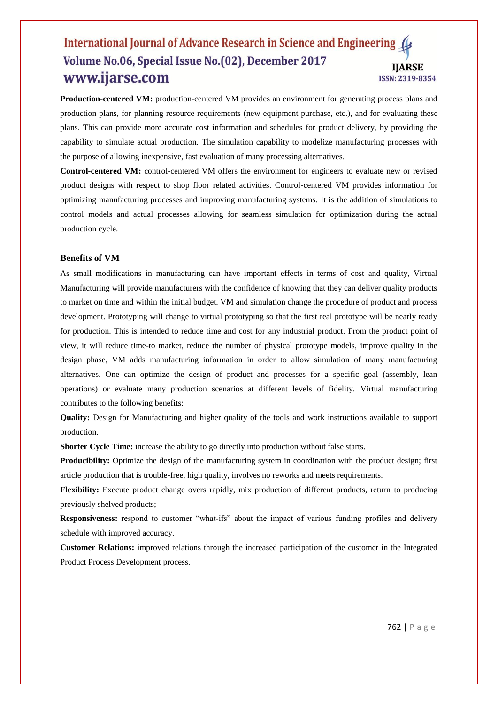## International Journal of Advance Research in Science and Engineering (4 Volume No.06, Special Issue No.(02), December 2017 **IJARSE** www.ijarse.com ISSN: 2319-8354

**Production-centered VM:** production-centered VM provides an environment for generating process plans and production plans, for planning resource requirements (new equipment purchase, etc.), and for evaluating these plans. This can provide more accurate cost information and schedules for product delivery, by providing the capability to simulate actual production. The simulation capability to modelize manufacturing processes with the purpose of allowing inexpensive, fast evaluation of many processing alternatives.

**Control-centered VM:** control-centered VM offers the environment for engineers to evaluate new or revised product designs with respect to shop floor related activities. Control-centered VM provides information for optimizing manufacturing processes and improving manufacturing systems. It is the addition of simulations to control models and actual processes allowing for seamless simulation for optimization during the actual production cycle.

## **Benefits of VM**

As small modifications in manufacturing can have important effects in terms of cost and quality, Virtual Manufacturing will provide manufacturers with the confidence of knowing that they can deliver quality products to market on time and within the initial budget. VM and simulation change the procedure of product and process development. Prototyping will change to virtual prototyping so that the first real prototype will be nearly ready for production. This is intended to reduce time and cost for any industrial product. From the product point of view, it will reduce time-to market, reduce the number of physical prototype models, improve quality in the design phase, VM adds manufacturing information in order to allow simulation of many manufacturing alternatives. One can optimize the design of product and processes for a specific goal (assembly, lean operations) or evaluate many production scenarios at different levels of fidelity. Virtual manufacturing contributes to the following benefits:

**Quality:** Design for Manufacturing and higher quality of the tools and work instructions available to support production.

**Shorter Cycle Time:** increase the ability to go directly into production without false starts.

Producibility: Optimize the design of the manufacturing system in coordination with the product design; first article production that is trouble-free, high quality, involves no reworks and meets requirements.

**Flexibility:** Execute product change overs rapidly, mix production of different products, return to producing previously shelved products;

**Responsiveness:** respond to customer "what-ifs" about the impact of various funding profiles and delivery schedule with improved accuracy.

**Customer Relations:** improved relations through the increased participation of the customer in the Integrated Product Process Development process.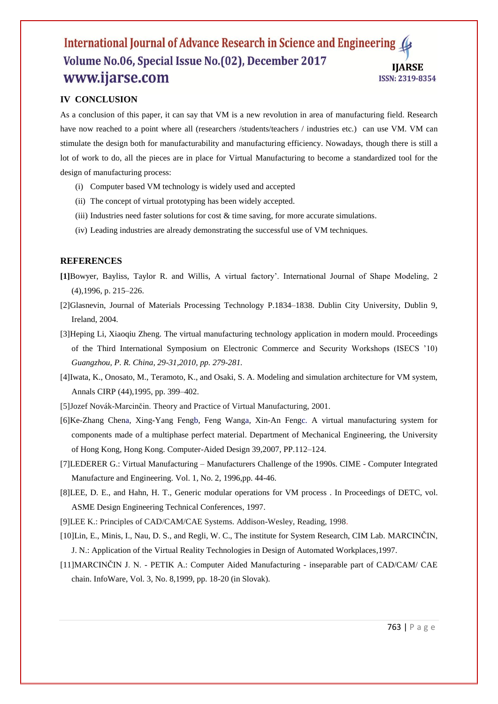# International Journal of Advance Research in Science and Engineering Volume No.06, Special Issue No.(02), December 2017 **IIARSE** www.ijarse.com ISSN: 2319-8354

# **IV CONCLUSION**

As a conclusion of this paper, it can say that VM is a new revolution in area of manufacturing field. Research have now reached to a point where all (researchers /students/teachers / industries etc.) can use VM. VM can stimulate the design both for manufacturability and manufacturing efficiency. Nowadays, though there is still a lot of work to do, all the pieces are in place for Virtual Manufacturing to become a standardized tool for the design of manufacturing process:

- (i) Computer based VM technology is widely used and accepted
- (ii) The concept of virtual prototyping has been widely accepted.
- (iii) Industries need faster solutions for cost  $\&$  time saving, for more accurate simulations.
- (iv) Leading industries are already demonstrating the successful use of VM techniques.

## **REFERENCES**

- **[1]**Bowyer, Bayliss, Taylor R. and Willis, A virtual factory'. International Journal of Shape Modeling, 2 (4),1996, p. 215–226.
- [2]Glasnevin, Journal of Materials Processing Technology P.1834–1838. Dublin City University, Dublin 9, Ireland, 2004.
- [3]Heping Li, Xiaoqiu Zheng. The virtual manufacturing technology application in modern mould. Proceedings of the Third International Symposium on Electronic Commerce and Security Workshops (ISECS '10) *Guangzhou, P. R. China, 29-31,2010, pp. 279-281.*
- [4]Iwata, K., Onosato, M., Teramoto, K., and Osaki, S. A. Modeling and simulation architecture for VM system, Annals CIRP (44),1995, pp. 399–402.
- [5]Jozef Novák-Marcinčin. Theory and Practice of Virtual Manufacturing, 2001.
- [6]Ke-Zhang Chena, Xing-Yang Fengb, Feng Wanga, Xin-An Fengc. A virtual manufacturing system for components made of a multiphase perfect material. Department of Mechanical Engineering, the University of Hong Kong, Hong Kong. Computer-Aided Design 39,2007, PP.112–124.
- [7]LEDERER G.: Virtual Manufacturing Manufacturers Challenge of the 1990s. CIME Computer Integrated Manufacture and Engineering. Vol. 1, No. 2, 1996,pp. 44-46.
- [8]LEE, D. E., and Hahn, H. T., Generic modular operations for VM process . In Proceedings of DETC, vol. ASME Design Engineering Technical Conferences, 1997.
- [9]LEE K.: Principles of CAD/CAM/CAE Systems. Addison-Wesley, Reading, 1998.
- [10]Lin, E., Minis, I., Nau, D. S., and Regli, W. C., The institute for System Research, CIM Lab. MARCINČIN, J. N.: Application of the Virtual Reality Technologies in Design of Automated Workplaces,1997.
- [11]MARCINČIN J. N. PETIK A.: Computer Aided Manufacturing inseparable part of CAD/CAM/ CAE chain. InfoWare, Vol. 3, No. 8,1999, pp. 18-20 (in Slovak).